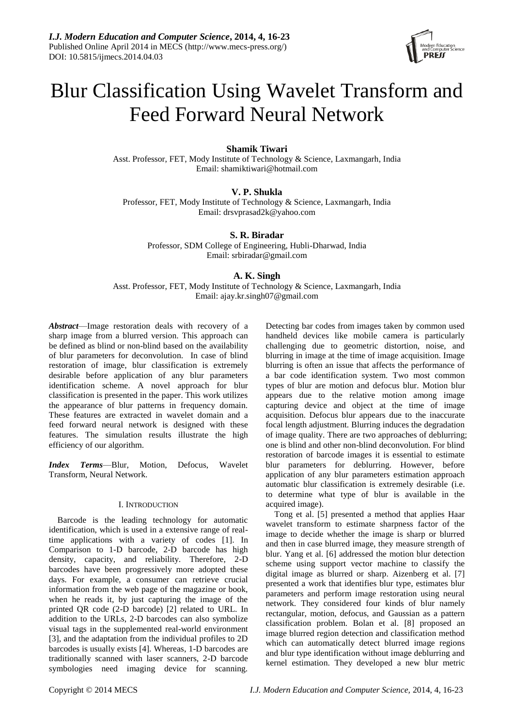

# Blur Classification Using Wavelet Transform and Feed Forward Neural Network

**Shamik Tiwari**

Asst. Professor, FET, Mody Institute of Technology & Science, Laxmangarh, India Email: shamiktiwari@hotmail.com

**V. P. Shukla**

Professor, FET, Mody Institute of Technology & Science, Laxmangarh, India Email: drsvprasad2k@yahoo.com

**S. R. Biradar**

Professor, SDM College of Engineering, Hubli-Dharwad, India Email: srbiradar@gmail.com

**A. K. Singh**

Asst. Professor, FET, Mody Institute of Technology & Science, Laxmangarh, India Email: ajay.kr.singh07@gmail.com

*Abstract*—Image restoration deals with recovery of a sharp image from a blurred version. This approach can be defined as blind or non-blind based on the availability of blur parameters for deconvolution. In case of blind restoration of image, blur classification is extremely desirable before application of any blur parameters identification scheme. A novel approach for blur classification is presented in the paper. This work utilizes the appearance of blur patterns in frequency domain. These features are extracted in wavelet domain and a feed forward neural network is designed with these features. The simulation results illustrate the high efficiency of our algorithm.

*Index Terms*—Blur, Motion, Defocus, Wavelet Transform, Neural Network.

# I. INTRODUCTION

Barcode is the leading technology for automatic identification, which is used in a extensive range of realtime applications with a variety of codes [1]. In Comparison to 1-D barcode, 2-D barcode has high density, capacity, and reliability. Therefore, 2-D barcodes have been progressively more adopted these days. For example, a consumer can retrieve crucial information from the web page of the magazine or book, when he reads it, by just capturing the image of the printed QR code (2-D barcode) [2] related to URL. In addition to the URLs, 2-D barcodes can also symbolize visual tags in the supplemented real-world environment [3], and the adaptation from the individual profiles to 2D barcodes is usually exists [4]. Whereas, 1-D barcodes are traditionally scanned with laser scanners, 2-D barcode symbologies need imaging device for scanning.

Detecting bar codes from images taken by common used handheld devices like mobile camera is particularly challenging due to geometric distortion, noise, and blurring in image at the time of image acquisition. Image blurring is often an issue that affects the performance of a bar code identification system. Two most common types of blur are motion and defocus blur. Motion blur appears due to the relative motion among image capturing device and object at the time of image acquisition. Defocus blur appears due to the inaccurate focal length adjustment. Blurring induces the degradation of image quality. There are two approaches of deblurring; one is blind and other non-blind deconvolution. For blind restoration of barcode images it is essential to estimate blur parameters for deblurring. However, before application of any blur parameters estimation approach automatic blur classification is extremely desirable (i.e. to determine what type of blur is available in the acquired image).

Tong et al. [5] presented a method that applies Haar wavelet transform to estimate sharpness factor of the image to decide whether the image is sharp or blurred and then in case blurred image, they measure strength of blur. Yang et al. [6] addressed the motion blur detection scheme using support vector machine to classify the digital image as blurred or sharp. Aizenberg et al. [7] presented a work that identifies blur type, estimates blur parameters and perform image restoration using neural network. They considered four kinds of blur namely rectangular, motion, defocus, and Gaussian as a pattern classification problem. Bolan et al. [8] proposed an image blurred region detection and classification method which can automatically detect blurred image regions and blur type identification without image deblurring and kernel estimation. They developed a new blur metric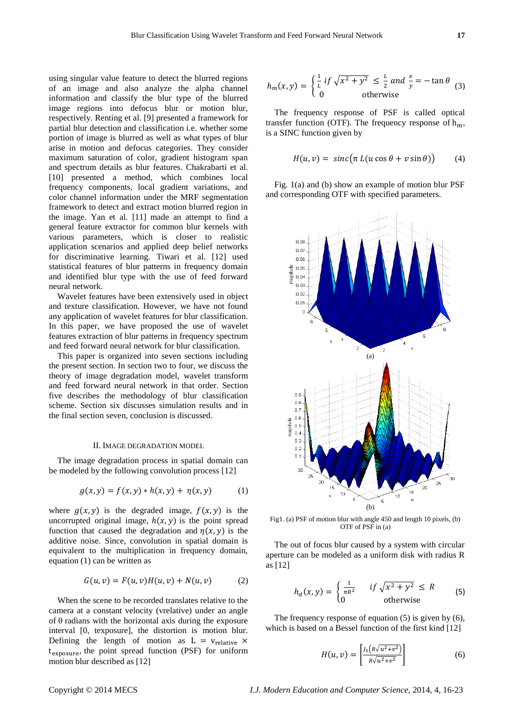using singular value feature to detect the blurred regions of an image and also analyze the alpha channel information and classify the blur type of the blurred image regions into defocus blur or motion blur, respectively. Renting et al. [9] presented a framework for partial blur detection and classification i.e. whether some portion of image is blurred as well as what types of blur arise in motion and defocus categories. They consider maximum saturation of color, gradient histogram span and spectrum details as blur features. Chakrabarti et al. [10] presented a method, which combines local frequency components, local gradient variations, and color channel information under the MRF segmentation framework to detect and extract motion blurred region in the image. Yan et al. [11] made an attempt to find a general feature extractor for common blur kernels with various parameters, which is closer to realistic application scenarios and applied deep belief networks for discriminative learning. Tiwari et al. [12] used statistical features of blur patterns in frequency domain and identified blur type with the use of feed forward neural network.

Wavelet features have been extensively used in object and texture classification. However, we have not found any application of wavelet features for blur classification. In this paper, we have proposed the use of wavelet features extraction of blur patterns in frequency spectrum and feed forward neural network for blur classification.

This paper is organized into seven sections including the present section. In section two to four, we discuss the theory of image degradation model, wavelet transform and feed forward neural network in that order. Section five describes the methodology of blur classification scheme. Section six discusses simulation results and in the final section seven, conclusion is discussed.

#### II. IMAGE DEGRADATION MODEL

The image degradation process in spatial domain can be modeled by the following convolution process [12]

$$
g(x, y) = f(x, y) * h(x, y) + \eta(x, y)
$$
 (1)

where  $g(x, y)$  is the degraded image,  $f(x, y)$  is the uncorrupted original image,  $h(x, y)$  is the point spread function that caused the degradation and  $\eta(x, y)$  is the additive noise. Since, convolution in spatial domain is equivalent to the multiplication in frequency domain, equation (1) can be written as

$$
G(u, v) = F(u, v)H(u, v) + N(u, v)
$$
 (2)

When the scene to be recorded translates relative to the camera at a constant velocity (vrelative) under an angle of  $\theta$  radians with the horizontal axis during the exposure interval [0, texposure], the distortion is motion blur. Defining the length of motion as  $L = v_{relative} \times$  $t_{exposure}$ , the point spread function (PSF) for uniform motion blur described as [12]

$$
h_m(x, y) = \begin{cases} \frac{1}{L} \, if \, \sqrt{x^2 + y^2} \le \frac{L}{2} \, and \, \frac{x}{y} = -\tan \theta \\ 0 \qquad \text{otherwise} \end{cases} \tag{3}
$$

The frequency response of PSF is called optical transfer function (OTF). The frequency response of  $h_m$ , is a SINC function given by

$$
H(u, v) = sinc(\pi L(u \cos \theta + v \sin \theta))
$$
 (4)

Fig. 1(a) and (b) show an example of motion blur PSF and corresponding OTF with specified parameters.



Fig1. (a) PSF of motion blur with angle 450 and length 10 pixels, (b) OTF of PSF in (a)

The out of focus blur caused by a system with circular aperture can be modeled as a uniform disk with radius R as [12]

$$
h_d(x,y) = \begin{cases} \frac{1}{\pi R^2} & \text{if } \sqrt{x^2 + y^2} \le R\\ 0 & \text{otherwise} \end{cases}
$$
(5)

The frequency response of equation (5) is given by (6), which is based on a Bessel function of the first kind [12]

$$
H(u,v) = \left[ \frac{J_1(R\sqrt{u^2 + v^2})}{R\sqrt{u^2 + v^2}} \right]
$$
 (6)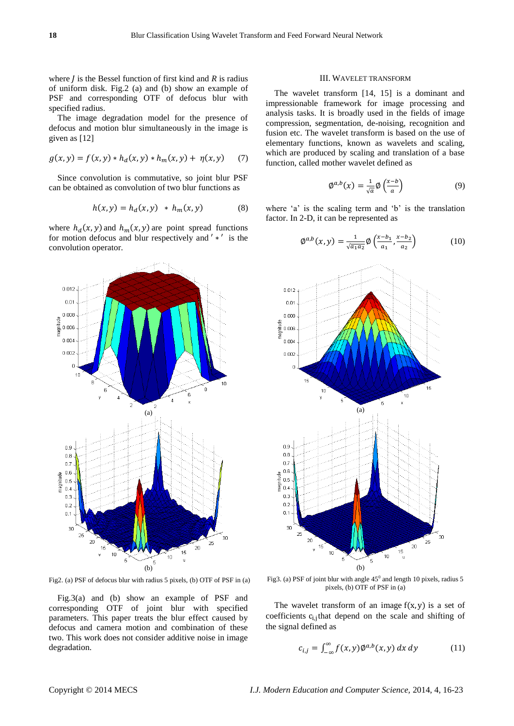where  $\hat{I}$  is the Bessel function of first kind and  $\hat{R}$  is radius of uniform disk. Fig.2 (a) and (b) show an example of PSF and corresponding OTF of defocus blur with specified radius.

The image degradation model for the presence of defocus and motion blur simultaneously in the image is given as [12]

$$
g(x, y) = f(x, y) * h_d(x, y) * h_m(x, y) + \eta(x, y) \tag{7}
$$

Since convolution is commutative, so joint blur PSF can be obtained as convolution of two blur functions as

$$
h(x, y) = h_d(x, y) * h_m(x, y)
$$
 (8)

where  $h_d(x, y)$  and  $h_m(x, y)$  are point spread functions for motion defocus and blur respectively and  $' *'$  is the convolution operator.



Fig2. (a) PSF of defocus blur with radius 5 pixels, (b) OTF of PSF in (a)

Fig.3(a) and (b) show an example of PSF and corresponding OTF of joint blur with specified parameters. This paper treats the blur effect caused by defocus and camera motion and combination of these two. This work does not consider additive noise in image degradation.

# III. WAVELET TRANSFORM

The wavelet transform [14, 15] is a dominant and impressionable framework for image processing and analysis tasks. It is broadly used in the fields of image compression, segmentation, de-noising, recognition and fusion etc. The wavelet transform is based on the use of elementary functions, known as wavelets and scaling, which are produced by scaling and translation of a base function, called mother wavelet defined as

$$
\varnothing^{a,b}(x) = \frac{1}{\sqrt{a}} \varnothing \left( \frac{x-b}{a} \right) \tag{9}
$$

where  $a'$  is the scaling term and  $b'$  is the translation factor. In 2-D, it can be represented as

$$
\varphi^{a,b}(x,y) = \frac{1}{\sqrt{a_1 a_2}} \varphi\left(\frac{x - b_1}{a_1}, \frac{x - b_2}{a_2}\right) \tag{10}
$$



Fig3. (a) PSF of joint blur with angle  $45^{\circ}$  and length 10 pixels, radius 5 pixels, (b) OTF of PSF in (a)

The wavelet transform of an image  $f(x, y)$  is a set of coefficients  $c_{i,j}$  that depend on the scale and shifting of the signal defined as

$$
c_{i,j} = \int_{-\infty}^{\infty} f(x, y) \phi^{a,b}(x, y) dx dy \qquad (11)
$$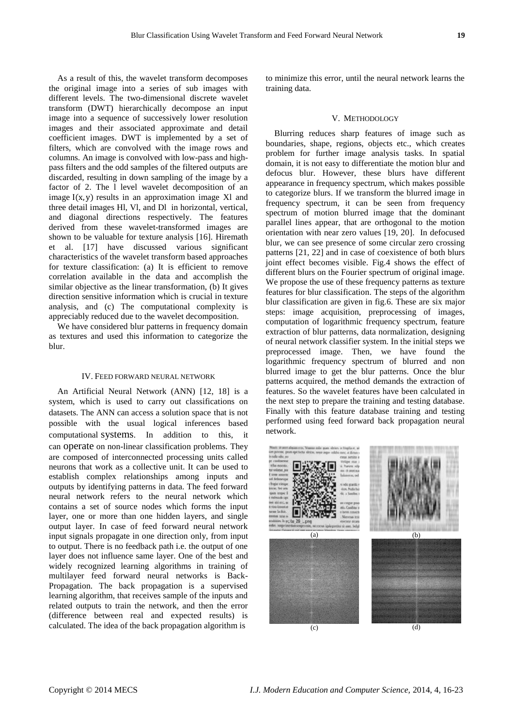As a result of this, the wavelet transform decomposes the original image into a series of sub images with different levels. The two-dimensional discrete wavelet transform (DWT) hierarchically decompose an input image into a sequence of successively lower resolution images and their associated approximate and detail coefficient images. DWT is implemented by a set of filters, which are convolved with the image rows and columns. An image is convolved with low-pass and highpass filters and the odd samples of the filtered outputs are discarded, resulting in down sampling of the image by a factor of 2. The l level wavelet decomposition of an image  $I(x, y)$  results in an approximation image Xl and three detail images Hl, Vl, and Dl in horizontal, vertical, and diagonal directions respectively. The features derived from these wavelet-transformed images are shown to be valuable for texture analysis [16]. Hiremath et al. [17] have discussed various significant characteristics of the wavelet transform based approaches for texture classification: (a) It is efficient to remove correlation available in the data and accomplish the similar objective as the linear transformation, (b) It gives direction sensitive information which is crucial in texture analysis, and (c) The computational complexity is appreciably reduced due to the wavelet decomposition.

We have considered blur patterns in frequency domain as textures and used this information to categorize the blur.

# IV. FEED FORWARD NEURAL NETWORK

An Artificial Neural Network (ANN) [12, 18] is a system, which is used to carry out classifications on datasets. The ANN can access a solution space that is not possible with the usual logical inferences based computational systems. In addition to this, it can operate on non-linear classification problems. They are composed of interconnected processing units called neurons that work as a collective unit. It can be used to establish complex relationships among inputs and outputs by identifying patterns in data. The feed forward neural network refers to the neural network which contains a set of source nodes which forms the input layer, one or more than one hidden layers, and single output layer. In case of feed forward neural network input signals propagate in one direction only, from input to output. There is no feedback path i.e. the output of one layer does not influence same layer. One of the best and widely recognized learning algorithms in training of multilayer feed forward neural networks is Back-Propagation. The back propagation is a supervised learning algorithm, that receives sample of the inputs and related outputs to train the network, and then the error (difference between real and expected results) is calculated. The idea of the back propagation algorithm is

to minimize this error, until the neural network learns the training data.

# V. METHODOLOGY

Blurring reduces sharp features of image such as boundaries, shape, regions, objects etc., which creates problem for further image analysis tasks. In spatial domain, it is not easy to differentiate the motion blur and defocus blur. However, these blurs have different appearance in frequency spectrum, which makes possible to categorize blurs. If we transform the blurred image in frequency spectrum, it can be seen from frequency spectrum of motion blurred image that the dominant parallel lines appear, that are orthogonal to the motion orientation with near zero values [19, 20]. In defocused blur, we can see presence of some circular zero crossing patterns [21, 22] and in case of coexistence of both blurs joint effect becomes visible. Fig.4 shows the effect of different blurs on the Fourier spectrum of original image. We propose the use of these frequency patterns as texture features for blur classification. The steps of the algorithm blur classification are given in fig.6. These are six major steps: image acquisition, preprocessing of images, computation of logarithmic frequency spectrum, feature extraction of blur patterns, data normalization, designing of neural network classifier system. In the initial steps we preprocessed image. Then, we have found the logarithmic frequency spectrum of blurred and non blurred image to get the blur patterns. Once the blur patterns acquired, the method demands the extraction of features. So the wavelet features have been calculated in the next step to prepare the training and testing database. Finally with this feature database training and testing performed using feed forward back propagation neural network.

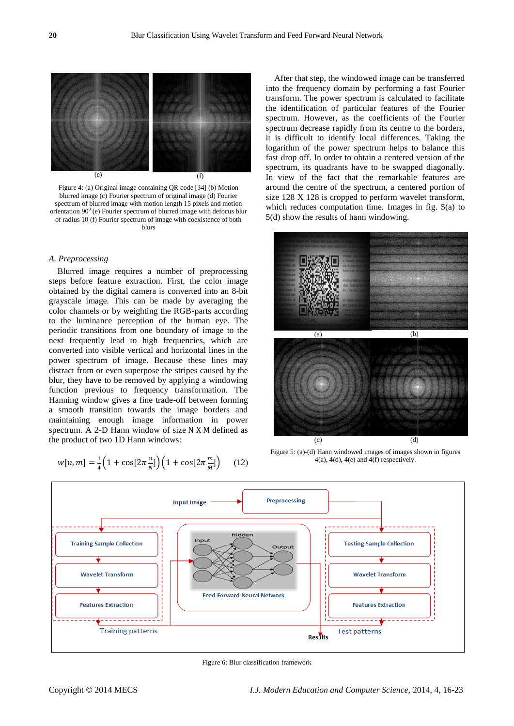

Figure 4: (a) Original image containing QR code [34] (b) Motion blurred image (c) Fourier spectrum of original image (d) Fourier spectrum of blurred image with motion length 15 pixels and motion orientation  $90^{\circ}$  (e) Fourier spectrum of blurred image with defocus blur of radius 10 (f) Fourier spectrum of image with coexistence of both blurs

# *A. Preprocessing*

Blurred image requires a number of preprocessing steps before feature extraction. First, the color image obtained by the digital camera is converted into an 8-bit grayscale image. This can be made by averaging the color channels or by weighting the RGB-parts according to the luminance perception of the human eye. The periodic transitions from one boundary of image to the next frequently lead to high frequencies, which are converted into visible vertical and horizontal lines in the power spectrum of image. Because these lines may distract from or even superpose the stripes caused by the blur, they have to be removed by applying a windowing function previous to frequency transformation. The Hanning window gives a fine trade-off between forming a smooth transition towards the image borders and maintaining enough image information in power spectrum. A 2-D Hann window of size  $N X M$  defined as the product of two 1D Hann windows:

$$
w[n,m] = \frac{1}{4} \left( 1 + \cos[2\pi \frac{n}{N}] \right) \left( 1 + \cos[2\pi \frac{m}{M}] \right) \tag{12}
$$

After that step, the windowed image can be transferred into the frequency domain by performing a fast Fourier transform. The power spectrum is calculated to facilitate the identification of particular features of the Fourier spectrum. However, as the coefficients of the Fourier spectrum decrease rapidly from its centre to the borders, it is difficult to identify local differences. Taking the logarithm of the power spectrum helps to balance this fast drop off. In order to obtain a centered version of the spectrum, its quadrants have to be swapped diagonally. In view of the fact that the remarkable features are around the centre of the spectrum, a centered portion of size 128 X 128 is cropped to perform wavelet transform, which reduces computation time. Images in fig. 5(a) to 5(d) show the results of hann windowing.



Figure 5: (a)-(d) Hann windowed images of images shown in figures  $4(a)$ ,  $4(d)$ ,  $4(e)$  and  $4(f)$  respectively.



Figure 6: Blur classification framework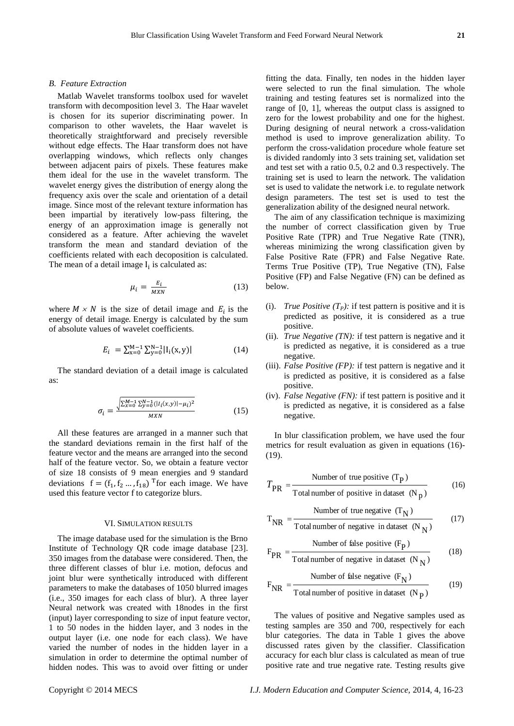#### *B. Feature Extraction*

Matlab Wavelet transforms toolbox used for wavelet transform with decomposition level 3. The Haar wavelet is chosen for its superior discriminating power. In comparison to other wavelets, the Haar wavelet is theoretically straightforward and precisely reversible without edge effects. The Haar transform does not have overlapping windows, which reflects only changes between adjacent pairs of pixels. These features make them ideal for the use in the wavelet transform. The wavelet energy gives the distribution of energy along the frequency axis over the scale and orientation of a detail image. Since most of the relevant texture information has been impartial by iteratively low-pass filtering, the energy of an approximation image is generally not considered as a feature. After achieving the wavelet transform the mean and standard deviation of the coefficients related with each decoposition is calculated. The mean of a detail image  $I_i$  is calculated as:

$$
\mu_i = \frac{E_i}{MXN} \tag{13}
$$

where  $M \times N$  is the size of detail image and  $E_i$  is the energy of detail image Energy is calculated by the sum of absolute values of wavelet coefficients.

$$
E_i = \sum_{x=0}^{M-1} \sum_{y=0}^{N-1} |I_i(x, y)|
$$
 (14)

The standard deviation of a detail image is calculated as:

$$
\sigma_i = \frac{\sqrt{\sum_{x=0}^{M-1} \sum_{y=0}^{N-1} (|i_i(x,y)| - \mu_i)^2}}{M X N}
$$
(15)

All these features are arranged in a manner such that the standard deviations remain in the first half of the feature vector and the means are arranged into the second half of the feature vector. So, we obtain a feature vector of size 18 consists of 9 mean energies and 9 standard deviations  $f = (f_1, f_2, \dots, f_{18})^T$  for each image. We have used this feature vector f to categorize blurs.

### VI. SIMULATION RESULTS

The image database used for the simulation is the Brno Institute of Technology QR code image database [23]. 350 images from the database were considered. Then, the three different classes of blur i.e. motion, defocus and joint blur were synthetically introduced with different parameters to make the databases of 1050 blurred images (i.e., 350 images for each class of blur). A three layer Neural network was created with 18nodes in the first (input) layer corresponding to size of input feature vector, 1 to 50 nodes in the hidden layer, and 3 nodes in the output layer (i.e. one node for each class). We have varied the number of nodes in the hidden layer in a simulation in order to determine the optimal number of hidden nodes. This was to avoid over fitting or under

fitting the data. Finally, ten nodes in the hidden layer were selected to run the final simulation. The whole training and testing features set is normalized into the range of [0, 1], whereas the output class is assigned to zero for the lowest probability and one for the highest. During designing of neural network a cross-validation method is used to improve generalization ability. To perform the cross-validation procedure whole feature set is divided randomly into 3 sets training set, validation set and test set with a ratio 0.5, 0.2 and 0.3 respectively. The training set is used to learn the network. The validation set is used to validate the network i.e. to regulate network design parameters. The test set is used to test the generalization ability of the designed neural network.

The aim of any classification technique is maximizing the number of correct classification given by True Positive Rate (TPR) and True Negative Rate (TNR), whereas minimizing the wrong classification given by False Positive Rate (FPR) and False Negative Rate. Terms True Positive (TP), True Negative (TN), False Positive (FP) and False Negative (FN) can be defined as below.

- (i). *True Positive*  $(T_P)$ : if test pattern is positive and it is predicted as positive, it is considered as a true positive.
- (ii). *True Negative (TN):* if test pattern is negative and it is predicted as negative, it is considered as a true negative.
- (iii). *False Positive (FP):* if test pattern is negative and it is predicted as positive, it is considered as a false positive.
- (iv). *False Negative (FN):* if test pattern is positive and it is predicted as negative, it is considered as a false negative.

In blur classification problem, we have used the four metrics for result evaluation as given in equations (16)- (19).

$$
T_{PR} = \frac{\text{Number of true positive (TP)}}{\text{Total number of positive in dataset (Np)}}\tag{16}
$$

$$
T_{NR} = \frac{\text{Number of true negative } (T_N)}{\text{Total number of negative in dataset } (N_N)}
$$
(17)

$$
F_{PR} = \frac{\text{Number of false positive (FP)}}{\text{Total number of negative in dataset (NN)}}\tag{18}
$$

$$
F_{NR} = \frac{\text{Number of false negative } (F_N)}{\text{Total number of positive in dataset } (N_P)}
$$
(19)

The values of positive and Negative samples used as testing samples are 350 and 700, respectively for each blur categories. The data in Table 1 gives the above discussed rates given by the classifier. Classification accuracy for each blur class is calculated as mean of true positive rate and true negative rate. Testing results give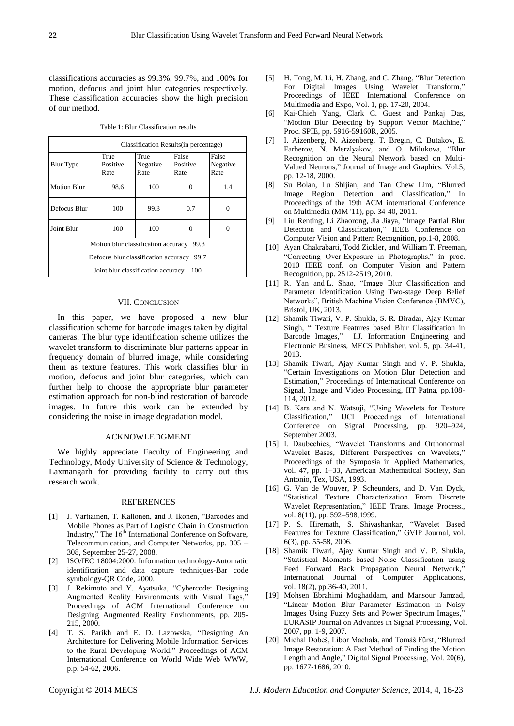classifications accuracies as 99.3%, 99.7%, and 100% for motion, defocus and joint blur categories respectively. These classification accuracies show the high precision of our method.

Table 1: Blur Classification results

|                                              | Classification Results (in percentage) |                          |                           |                           |
|----------------------------------------------|----------------------------------------|--------------------------|---------------------------|---------------------------|
| <b>Blur</b> Type                             | True<br>Positive<br>Rate               | True<br>Negative<br>Rate | False<br>Positive<br>Rate | False<br>Negative<br>Rate |
| <b>Motion Blur</b>                           | 98.6                                   | 100                      |                           | 1.4                       |
| Defocus Blur                                 | 100                                    | 99.3                     | 0.7                       | 0                         |
| Joint Blur                                   | 100                                    | 100                      |                           |                           |
| Motion blur classification accuracy<br>99.3  |                                        |                          |                           |                           |
| Defocus blur classification accuracy<br>99.7 |                                        |                          |                           |                           |
| 100<br>Joint blur classification accuracy    |                                        |                          |                           |                           |

## VII. CONCLUSION

In this paper, we have proposed a new blur classification scheme for barcode images taken by digital cameras. The blur type identification scheme utilizes the wavelet transform to discriminate blur patterns appear in frequency domain of blurred image, while considering them as texture features. This work classifies blur in motion, defocus and joint blur categories, which can further help to choose the appropriate blur parameter estimation approach for non-blind restoration of barcode images. In future this work can be extended by considering the noise in image degradation model.

## ACKNOWLEDGMENT

We highly appreciate Faculty of Engineering and Technology, Mody University of Science & Technology, Laxmangarh for providing facility to carry out this research work.

## REFERENCES

- [1] J. Vartiainen, T. Kallonen, and J. Ikonen, "Barcodes and Mobile Phones as Part of Logistic Chain in Construction Industry," The 16<sup>th</sup> International Conference on Software, Telecommunication, and Computer Networks, pp. 305 – 308, September 25-27, 2008.
- [2] ISO/IEC 18004:2000. Information technology-Automatic identification and data capture techniques-Bar code symbology-QR Code, 2000.
- [3] J. Rekimoto and Y. Ayatsuka, "Cybercode: Designing Augmented Reality Environments with Visual Tags," Proceedings of ACM International Conference on Designing Augmented Reality Environments, pp. 205- 215, 2000.
- [4] T. S. Parikh and E. D. Lazowska, "Designing An Architecture for Delivering Mobile Information Services to the Rural Developing World," Proceedings of ACM International Conference on World Wide Web WWW, p.p. 54-62, 2006.
- [5] H. Tong, M. Li, H. Zhang, and C. Zhang, "Blur Detection" For Digital Images Using Wavelet Transform," Proceedings of IEEE International Conference on Multimedia and Expo, Vol. 1, pp. 17-20, 2004.
- [6] Kai-Chieh Yang, Clark C. Guest and Pankaj Das, "Motion Blur Detecting by Support Vector Machine," Proc. SPIE, pp. 5916-59160R, 2005.
- [7] I. Aizenberg, N. Aizenberg, T. Bregin, C. Butakov, E. Farberov, N. Merzlyakov, and O. Milukova, "Blur Recognition on the Neural Network based on Multi-Valued Neurons," Journal of Image and Graphics. Vol.5, pp. 12-18, 2000.
- [8] Su Bolan, Lu Shijian, and Tan Chew Lim, "Blurred Image Region Detection and Classification," In Proceedings of the 19th ACM international Conference on Multimedia (MM '11), pp. 34-40, 2011.
- [9] Liu Renting, Li Zhaorong, Jia Jiaya, "Image Partial Blur Detection and Classification," IEEE Conference on Computer Vision and Pattern Recognition, pp.1-8, 2008.
- [10] Ayan Chakrabarti, Todd Zickler, and William T. Freeman, "Correcting Over-Exposure in Photographs," in proc. 2010 IEEE conf. on Computer Vision and Pattern Recognition, pp. 2512-2519, 2010.
- [11] R. Yan and L. Shao, "Image Blur Classification and Parameter Identification Using Two-stage Deep Belief Networks", British Machine Vision Conference (BMVC), Bristol, UK, 2013.
- [12] Shamik Tiwari, V. P. Shukla, S. R. Biradar, Ajay Kumar Singh, " Texture Features based Blur Classification in Barcode Images," I.J. Information Engineering and Electronic Business, MECS Publisher, vol. 5, pp. 34-41, 2013.
- [13] Shamik Tiwari, Ajay Kumar Singh and V. P. Shukla, ―Certain Investigations on Motion Blur Detection and Estimation," Proceedings of International Conference on Signal, Image and Video Processing, IIT Patna, pp.108- 114, 2012.
- [14] B. Kara and N. Watsuji, "Using Wavelets for Texture Classification,‖ IJCI Proceedings of International Conference on Signal Processing, pp. 920–924, September 2003.
- [15] I. Daubechies, "Wavelet Transforms and Orthonormal Wavelet Bases, Different Perspectives on Wavelets," Proceedings of the Symposia in Applied Mathematics, vol. 47, pp. 1–33, American Mathematical Society, San Antonio, Tex, USA, 1993.
- [16] G. Van de Wouver, P. Scheunders, and D. Van Dyck, ―Statistical Texture Characterization From Discrete Wavelet Representation," IEEE Trans. Image Process., vol. 8(11), pp. 592–598,1999.
- [17] P. S. Hiremath, S. Shivashankar, "Wavelet Based Features for Texture Classification," GVIP Journal, vol. 6(3), pp. 55-58, 2006.
- [18] Shamik Tiwari, Ajay Kumar Singh and V. P. Shukla, ―Statistical Moments based Noise Classification using Feed Forward Back Propagation Neural Network," International Journal of Computer Applications, vol. 18(2), pp.36-40, 2011.
- [19] Mohsen Ebrahimi Moghaddam, and Mansour Jamzad, ―Linear Motion Blur Parameter Estimation in Noisy Images Using Fuzzy Sets and Power Spectrum Images, EURASIP Journal on Advances in Signal Processing, Vol. 2007, pp. 1-9, 2007.
- [20] Michal Dobeš, Libor Machala, and Tomáš Fürst, "Blurred Image Restoration: A Fast Method of Finding the Motion Length and Angle," Digital Signal Processing, Vol. 20(6), pp. 1677-1686, 2010.